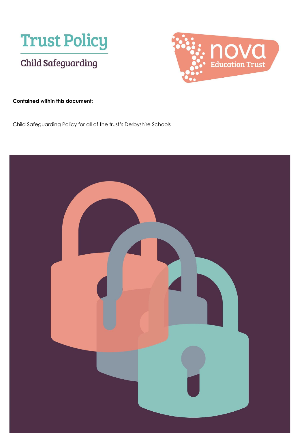



#### **Contained within this document:**

Child Safeguarding Policy for all of the trust's Derbyshire Schools

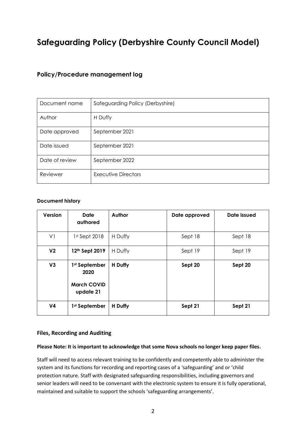# **Safeguarding Policy (Derbyshire County Council Model)**

# **Policy/Procedure management log**

| Document name  | Safeguarding Policy (Derbyshire) |
|----------------|----------------------------------|
| Author         | H Duffy                          |
| Date approved  | September 2021                   |
| Date issued    | September 2021                   |
| Date of review | September 2022                   |
| Reviewer       | <b>Executive Directors</b>       |

#### **Document history**

| Version        | Date<br>authored                                        | Author  | Date approved | Date issued |
|----------------|---------------------------------------------------------|---------|---------------|-------------|
| V1             | 1st Sept 2018                                           | H Duffy | Sept 18       | Sept 18     |
| V <sub>2</sub> | 12th Sept 2019                                          | H Duffy | Sept 19       | Sept 19     |
| V3             | 1 <sup>st</sup> September<br>2020<br><b>March COVID</b> | H Duffy | Sept 20       | Sept 20     |
|                | update 21                                               |         |               |             |
| V <sub>4</sub> | 1st September                                           | H Duffy | Sept 21       | Sept 21     |

#### **Files, Recording and Auditing**

#### **Please Note: It is important to acknowledge that some Nova schools no longer keep paper files.**

Staff will need to access relevant training to be confidently and competently able to administer the system and its functions for recording and reporting cases of a 'safeguarding' and or 'child protection nature. Staff with designated safeguarding responsibilities, including governors and senior leaders will need to be conversant with the electronic system to ensure it is fully operational, maintained and suitable to support the schools 'safeguarding arrangements'.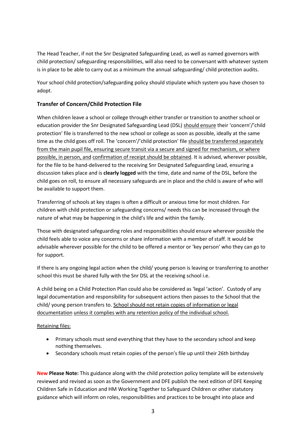The Head Teacher, if not the Snr Designated Safeguarding Lead, as well as named governors with child protection/ safeguarding responsibilities, will also need to be conversant with whatever system is in place to be able to carry out as a minimum the annual safeguarding/ child protection audits.

Your school child protection/safeguarding policy should stipulate which system you have chosen to adopt.

#### **Transfer of Concern/Child Protection File**

When children leave a school or college through either transfer or transition to another school or education provider the Snr Designated Safeguarding Lead (DSL) should ensure their 'concern'/'child protection' file is transferred to the new school or college as soon as possible, ideally at the same time as the child goes off roll. The 'concern'/'child protection' file should be transferred separately from the main pupil file, ensuring secure transit via a secure and signed for mechanism, or where possible, in person, and confirmation of receipt should be obtained. It is advised, wherever possible, for the file to be hand-delivered to the receiving Snr Designated Safeguarding Lead, ensuring a discussion takes place and is **clearly logged** with the time, date and name of the DSL, before the child goes on roll, to ensure all necessary safeguards are in place and the child is aware of who will be available to support them.

Transferring of schools at key stages is often a difficult or anxious time for most children. For children with child protection or safeguarding concerns/ needs this can be increased through the nature of what may be happening in the child's life and within the family.

Those with designated safeguarding roles and responsibilities should ensure wherever possible the child feels able to voice any concerns or share information with a member of staff. It would be advisable wherever possible for the child to be offered a mentor or 'key person' who they can go to for support.

If there is any ongoing legal action when the child/ young person is leaving or transferring to another school this must be shared fully with the Snr DSL at the receiving school i.e.

A child being on a Child Protection Plan could also be considered as 'legal 'action'. Custody of any legal documentation and responsibility for subsequent actions then passes to the School that the child/ young person transfers to. School should not retain copies of information or legal documentation unless it complies with any retention policy of the individual school.

#### Retaining files:

- Primary schools must send everything that they have to the secondary school and keep nothing themselves.
- Secondary schools must retain copies of the person's file up until their 26th birthday

**New Please Note:** This guidance along with the child protection policy template will be extensively reviewed and revised as soon as the Government and DFE publish the next edition of DFE Keeping Children Safe in Education and HM Working Together to Safeguard Children or other statutory guidance which will inform on roles, responsibilities and practices to be brought into place and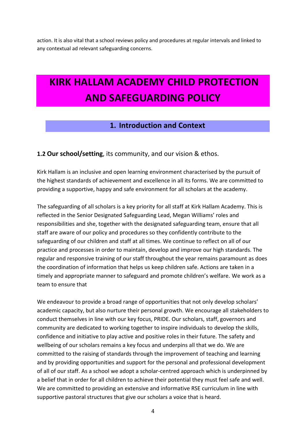action. It is also vital that a school reviews policy and procedures at regular intervals and linked to any contextual ad relevant safeguarding concerns.

# **KIRK HALLAM ACADEMY CHILD PROTECTION AND SAFEGUARDING POLICY**

# **1. Introduction and Context**

**1.2 Our school/setting**, its community, and our vision & ethos.

Kirk Hallam is an inclusive and open learning environment characterised by the pursuit of the highest standards of achievement and excellence in all its forms. We are committed to providing a supportive, happy and safe environment for all scholars at the academy.

The safeguarding of all scholars is a key priority for all staff at Kirk Hallam Academy. This is reflected in the Senior Designated Safeguarding Lead, Megan Williams' roles and responsibilities and she, together with the designated safeguarding team, ensure that all staff are aware of our policy and procedures so they confidently contribute to the safeguarding of our children and staff at all times. We continue to reflect on all of our practice and processes in order to maintain, develop and improve our high standards. The regular and responsive training of our staff throughout the year remains paramount as does the coordination of information that helps us keep children safe. Actions are taken in a timely and appropriate manner to safeguard and promote children's welfare. We work as a team to ensure that

We endeavour to provide a broad range of opportunities that not only develop scholars' academic capacity, but also nurture their personal growth. We encourage all stakeholders to conduct themselves in line with our key focus, PRIDE. Our scholars, staff, governors and community are dedicated to working together to inspire individuals to develop the skills, confidence and initiative to play active and positive roles in their future. The safety and wellbeing of our scholars remains a key focus and underpins all that we do. We are committed to the raising of standards through the improvement of teaching and learning and by providing opportunities and support for the personal and professional development of all of our staff. As a school we adopt a scholar-centred approach which is underpinned by a belief that in order for all children to achieve their potential they must feel safe and well. We are committed to providing an extensive and informative RSE curriculum in line with supportive pastoral structures that give our scholars a voice that is heard.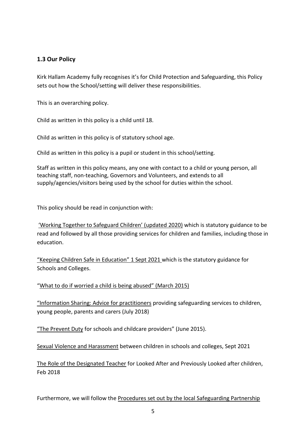# **1.3 Our Policy**

Kirk Hallam Academy fully recognises it's for Child Protection and Safeguarding, this Policy sets out how the School/setting will deliver these responsibilities.

This is an overarching policy.

Child as written in this policy is a child until 18.

Child as written in this policy is of statutory school age.

Child as written in this policy is a pupil or student in this school/setting.

Staff as written in this policy means, any one with contact to a child or young person, all teaching staff, non-teaching, Governors and Volunteers, and extends to all supply/agencies/visitors being used by the school for duties within the school.

This policy should be read in conjunction with:

['Working Together to Safeguard Children' \(](https://www.gov.uk/government/publications/working-together-to-safeguard-children--2)updated 2020) which is statutory guidance to be read and followed by all those providing services for children and families, including those in education.

["Keeping Children Safe in Education"](https://www.gov.uk/government/publications/keeping-children-safe-in-education--2) 1 Sept 2021 which is the statutory guidance for Schools and Colleges.

["What to do if worried a child is being abused" \(March 2015\)](https://www.gov.uk/government/publications/what-to-do-if-youre-worried-a-child-is-being-abused--2)

["Information Sharing: Advice for practitioners](https://www.gov.uk/government/publications/safeguarding-practitioners-information-sharing-advice) providing safeguarding services to children, young people, parents and carers (July 2018)

["The Prevent Duty](https://www.gov.uk/government/publications/protecting-children-from-radicalisation-the-prevent-duty) for schools and childcare providers" (June 2015).

[Sexual Violence and Harassment](https://www.gov.uk/government/publications/sexual-violence-and-sexual-harassment-between-children-in-schools-and-colleges) between children in schools and colleges, Sept 2021

[The Role of the Designated Teacher](https://www.gov.uk/government/publications/designated-teacher-for-looked-after-children) for Looked After and Previously Looked after children, Feb 2018

Furthermore, we will follow the [Procedures set out by the local Safeguarding Partnership](http://derbyshirescbs.proceduresonline.com/)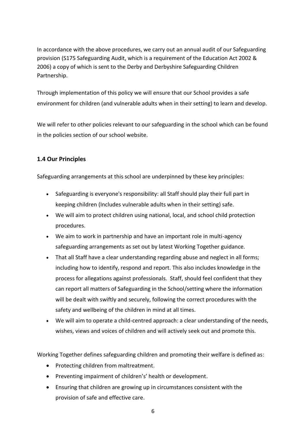In accordance with the above procedures, we carry out an annual audit of our Safeguarding provision (S175 Safeguarding Audit, which is a requirement of the Education Act 2002 & 2006) a copy of which is sent to the Derby and Derbyshire Safeguarding Children Partnership.

Through implementation of this policy we will ensure that our School provides a safe environment for children (and vulnerable adults when in their setting) to learn and develop.

We will refer to other policies relevant to our safeguarding in the school which can be found in the policies section of our school website.

# **1.4 Our Principles**

Safeguarding arrangements at this school are underpinned by these key principles:

- Safeguarding is everyone's responsibility: all Staff should play their full part in keeping children (Includes vulnerable adults when in their setting) safe.
- We will aim to protect children using national, local, and school child protection procedures.
- We aim to work in partnership and have an important role in multi-agency safeguarding arrangements as set out by latest Working Together guidance.
- That all Staff have a clear understanding regarding abuse and neglect in all forms; including how to identify, respond and report. This also includes knowledge in the process for allegations against professionals. Staff, should feel confident that they can report all matters of Safeguarding in the School/setting where the information will be dealt with swiftly and securely, following the correct procedures with the safety and wellbeing of the children in mind at all times.
- We will aim to operate a child-centred approach: a clear understanding of the needs, wishes, views and voices of children and will actively seek out and promote this.

Working Together defines safeguarding children and promoting their welfare is defined as:

- Protecting children from maltreatment.
- Preventing impairment of children's' health or development.
- Ensuring that children are growing up in circumstances consistent with the provision of safe and effective care.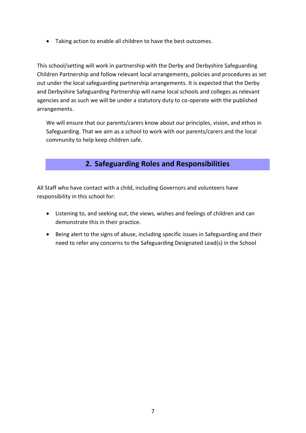• Taking action to enable all children to have the best outcomes.

This school/setting will work in partnership with the Derby and Derbyshire Safeguarding Children Partnership and follow relevant local arrangements, policies and procedures as set out under the local safeguarding partnership arrangements. It is expected that the Derby and Derbyshire Safeguarding Partnership will name local schools and colleges as relevant agencies and as such we will be under a statutory duty to co-operate with the published arrangements.

We will ensure that our parents/carers know about our principles, vision, and ethos in Safeguarding. That we aim as a school to work with our parents/carers and the local community to help keep children safe.

# **2. Safeguarding Roles and Responsibilities**

All Staff who have contact with a child, including Governors and volunteers have responsibility in this school for:

- Listening to, and seeking out, the views, wishes and feelings of children and can demonstrate this in their practice.
- Being alert to the signs of abuse, including specific issues in Safeguarding and their need to refer any concerns to the Safeguarding Designated Lead(s) in the School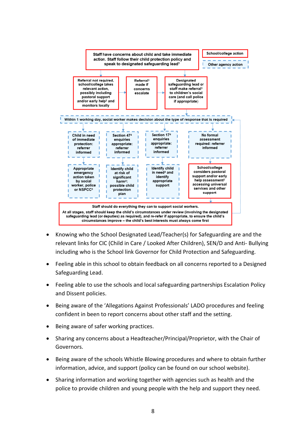

- Knowing who the School Designated Lead/Teacher(s) for Safeguarding are and the relevant links for CIC (Child in Care / Looked After Children), SEN/D and Anti- Bullying including who is the School link Governor for Child Protection and Safeguarding.
- Feeling able in this school to obtain feedback on all concerns reported to a Designed Safeguarding Lead.
- Feeling able to use the schools and local safeguarding partnerships Escalation Policy and Dissent policies.
- Being aware of the 'Allegations Against Professionals' LADO procedures and feeling confident in been to report concerns about other staff and the setting.
- Being aware of safer working practices.
- Sharing any concerns about a Headteacher/Principal/Proprietor, with the Chair of Governors.
- Being aware of the schools Whistle Blowing procedures and where to obtain further information, advice, and support (policy can be found on our school website).
- Sharing information and working together with agencies such as health and the police to provide children and young people with the help and support they need.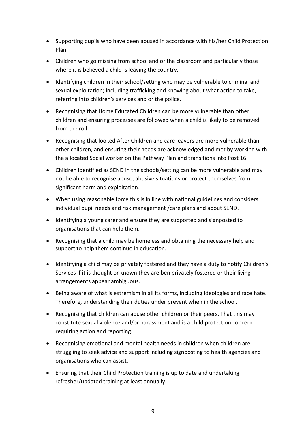- Supporting pupils who have been abused in accordance with his/her Child Protection Plan.
- Children who go missing from school and or the classroom and particularly those where it is believed a child is leaving the country.
- Identifying children in their school/setting who may be vulnerable to criminal and sexual exploitation; including trafficking and knowing about what action to take, referring into children's services and or the police.
- Recognising that Home Educated Children can be more vulnerable than other children and ensuring processes are followed when a child is likely to be removed from the roll.
- Recognising that looked After Children and care leavers are more vulnerable than other children, and ensuring their needs are acknowledged and met by working with the allocated Social worker on the Pathway Plan and transitions into Post 16.
- Children identified as SEND in the schools/setting can be more vulnerable and may not be able to recognise abuse, abusive situations or protect themselves from significant harm and exploitation.
- When using reasonable force this is in line with national guidelines and considers individual pupil needs and risk management /care plans and about SEND.
- Identifying a young carer and ensure they are supported and signposted to organisations that can help them.
- Recognising that a child may be homeless and obtaining the necessary help and support to help them continue in education.
- Identifying a child may be privately fostered and they have a duty to notify Children's Services if it is thought or known they are ben privately fostered or their living arrangements appear ambiguous.
- Being aware of what is extremism in all its forms, including ideologies and race hate. Therefore, understanding their duties under prevent when in the school.
- Recognising that children can abuse other children or their peers. That this may constitute sexual violence and/or harassment and is a child protection concern requiring action and reporting.
- Recognising emotional and mental health needs in children when children are struggling to seek advice and support including signposting to health agencies and organisations who can assist.
- Ensuring that their Child Protection training is up to date and undertaking refresher/updated training at least annually.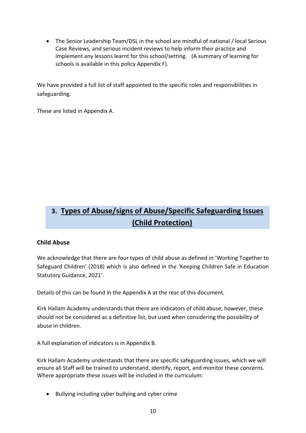• The Senior Leadership Team/DSL in the school are mindful of national / local Serious Case Reviews, and serious incident reviews to help inform their practice and implement any lessons learnt for this school/setting. (A summary of learning for schools is available in this policy Appendix F).

We have provided a full list of staff appointed to the specific roles and responsibilities in safeguarding.

These are listed in Appendix A.

# **3. Types of Abuse/signs of Abuse/Specific Safeguarding Issues (Child Protection)**

# **Child Abuse**

We acknowledge that there are four types of child abuse as defined in 'Working Together to Safeguard Children' (2018) which is also defined in the 'Keeping Children Safe in Education Statutory Guidance, 2021'.

Details of this can be found in the Appendix A at the rear of this document.

Kirk Hallam Academy understands that there are indicators of child abuse; however, these should not be considered as a definitive list, but used when considering the possibility of abuse in children.

A full explanation of indicators is in Appendix B.

Kirk Hallam Academy understands that there are specific safeguarding issues, which we will ensure all Staff will be trained to understand, identify, report, and monitor these concerns. Where appropriate these issues will be included in the curriculum:

• Bullying including cyber bullying and cyber crime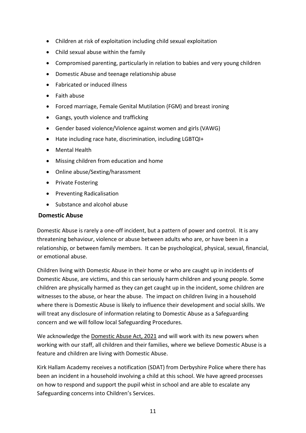- Children at risk of exploitation including child sexual exploitation
- Child sexual abuse within the family
- Compromised parenting, particularly in relation to babies and very young children
- Domestic Abuse and teenage relationship abuse
- Fabricated or induced illness
- Faith abuse
- Forced marriage, Female Genital Mutilation (FGM) and breast ironing
- Gangs, youth violence and trafficking
- Gender based violence/Violence against women and girls (VAWG)
- Hate including race hate, discrimination, including LGBTQI+
- Mental Health
- Missing children from education and home
- Online abuse/Sexting/harassment
- Private Fostering
- Preventing Radicalisation
- Substance and alcohol abuse

#### **Domestic Abuse**

Domestic Abuse is rarely a one-off incident, but a pattern of power and control. It is any threatening behaviour, violence or abuse between adults who are, or have been in a relationship, or between family members. It can be psychological, physical, sexual, financial, or emotional abuse.

Children living with Domestic Abuse in their home or who are caught up in incidents of Domestic Abuse, are victims, and this can seriously harm children and young people. Some children are physically harmed as they can get caught up in the incident, some children are witnesses to the abuse, or hear the abuse. The impact on children living in a household where there is Domestic Abuse is likely to influence their development and social skills. We will treat any disclosure of information relating to Domestic Abuse as a Safeguarding concern and we will follow local Safeguarding Procedures.

We acknowledge the [Domestic Abuse Act, 2021](https://www.gov.uk/government/publications/domestic-abuse-bill-2020-factsheets/domestic-abuse-bill-2020-overarching-factsheet) and will work with its new powers when working with our staff, all children and their families, where we believe Domestic Abuse is a feature and children are living with Domestic Abuse.

Kirk Hallam Academy receives a notification (SDAT) from Derbyshire Police where there has been an incident in a household involving a child at this school. We have agreed processes on how to respond and support the pupil whist in school and are able to escalate any Safeguarding concerns into Children's Services.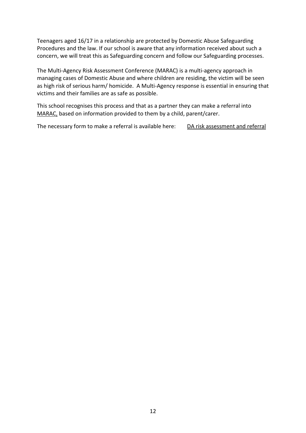Teenagers aged 16/17 in a relationship are protected by Domestic Abuse Safeguarding Procedures and the law. If our school is aware that any information received about such a concern, we will treat this as Safeguarding concern and follow our Safeguarding processes.

The Multi-Agency Risk Assessment Conference (MARAC) is a multi-agency approach in managing cases of Domestic Abuse and where children are residing, the victim will be seen as high risk of serious harm/ homicide. A Multi-Agency response is essential in ensuring that victims and their families are as safe as possible.

This school recognises this process and that as a partner they can make a referral into [MARAC,](https://www.saferderbyshire.gov.uk/what-we-do/domestic-abuse/staff-guidance/adults/marac/multi-agency-risk-assessment-conference.aspx) based on information provided to them by a child, parent/carer.

The necessary form to make a referral is available here: [DA risk assessment and referral](https://www.saferderbyshire.gov.uk/dariskassessmentandreferral)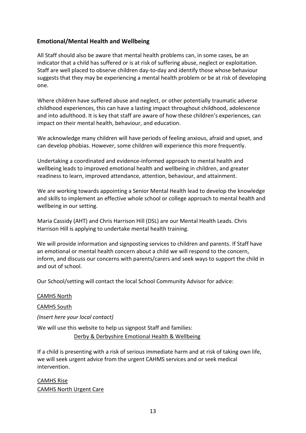#### **Emotional/Mental Health and Wellbeing**

All Staff should also be aware that mental health problems can, in some cases, be an indicator that a child has suffered or is at risk of suffering abuse, neglect or exploitation. Staff are well placed to observe children day-to-day and identify those whose behaviour suggests that they may be experiencing a mental health problem or be at risk of developing one.

Where children have suffered abuse and neglect, or other potentially traumatic adverse childhood experiences, this can have a lasting impact throughout childhood, adolescence and into adulthood. It is key that staff are aware of how these children's experiences, can impact on their mental health, behaviour, and education.

We acknowledge many children will have periods of feeling anxious, afraid and upset, and can develop phobias. However, some children will experience this more frequently.

Undertaking a coordinated and evidence-informed approach to mental health and wellbeing leads to improved emotional health and wellbeing in children, and greater readiness to learn, improved attendance, attention, behaviour, and attainment.

We are working towards appointing a Senior Mental Health lead to develop the knowledge and skills to implement an effective whole school or college approach to mental health and wellbeing in our setting.

Maria Cassidy (AHT) and Chris Harrison Hill (DSL) are our Mental Health Leads. Chris Harrison Hill is applying to undertake mental health training.

We will provide information and signposting services to children and parents. If Staff have an emotional or mental health concern about a child we will respond to the concern, inform, and discuss our concerns with parents/carers and seek ways to support the child in and out of school.

Our School/setting will contact the local School Community Advisor for advice:

#### [CAMHS North](https://www.camhsnorthderbyshire.nhs.uk/specialist-community-advisors)

#### [CAMHS South](https://www.derbyshirehealthcareft.nhs.uk/services/childrens-mental-health-services-camhs-derby-and-southern-derbyshire)

*(Insert here your local contact)*

We will use this website to help us signpost Staff and families:

[Derby & Derbyshire Emotional Health & Wellbeing](https://derbyandderbyshireemotionalhealthandwellbeing.uk/)

If a child is presenting with a risk of serious immediate harm and at risk of taking own life, we will seek urgent advice from the urgent CAHMS services and or seek medical intervention.

[CAMHS Rise](https://www.derbyshirehealthcareft.nhs.uk/services/childrens-mental-health-services-camhs-derby-and-southern-derbyshire/im-professional/camhs-rise) [CAMHS North Urgent Care](https://www.camhsnorthderbyshire.nhs.uk/urgent-care)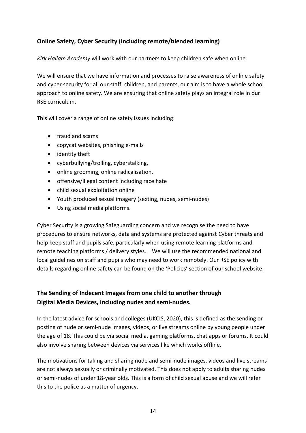# **Online Safety, Cyber Security (including remote/blended learning)**

*Kirk Hallam Academy* will work with our partners to keep children safe when online.

We will ensure that we have information and processes to raise awareness of online safety and cyber security for all our staff, children, and parents, our aim is to have a whole school approach to online safety. We are ensuring that online safety plays an integral role in our RSE curriculum.

This will cover a range of online safety issues including:

- fraud and scams
- copycat websites, phishing e-mails
- identity theft
- cyberbullying/trolling, cyberstalking,
- online grooming, online radicalisation,
- offensive/illegal content including race hate
- child sexual exploitation online
- Youth produced sexual imagery (sexting, nudes, semi-nudes)
- Using social media platforms.

Cyber Security is a growing Safeguarding concern and we recognise the need to have procedures to ensure networks, data and systems are protected against Cyber threats and help keep staff and pupils safe, particularly when using remote learning platforms and remote teaching platforms / delivery styles. We will use the recommended national and local guidelines on staff and pupils who may need to work remotely. Our RSE policy with details regarding online safety can be found on the 'Policies' section of our school website.

# **The Sending of Indecent Images from one child to another through Digital Media Devices, including nudes and semi-nudes.**

In the latest advice for schools and colleges (UKCIS, 2020), this is defined as the sending or posting of nude or semi-nude images, videos, or live streams online by young people under the age of 18. This could be via social media, gaming platforms, chat apps or forums. It could also involve sharing between devices via services like which works offline.

The motivations for taking and sharing nude and semi-nude images, videos and live streams are not always sexually or criminally motivated. This does not apply to adults sharing nudes or semi-nudes of under 18-year olds. This is a form of child sexual abuse and we will refer this to the police as a matter of urgency.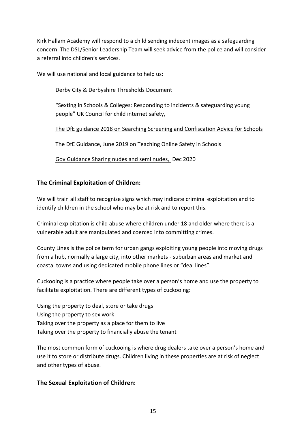Kirk Hallam Academy will respond to a child sending indecent images as a safeguarding concern. The DSL/Senior Leadership Team will seek advice from the police and will consider a referral into children's services.

We will use national and local guidance to help us:

[Derby City & Derbyshire Thresholds Document](http://www.proceduresonline.com/derbyshire/scbs/user_controlled_lcms_area/uploaded_files/DSCB-Thresholds.pdf)

"[Sexting in Schools & Colleges:](https://www.safeguardinginschools.co.uk/wp-content/uploads/2016/08/Sexting-in-schools-and-colleges-UKCCIS-August-2016.pdf) Responding to incidents & safeguarding young people" UK Council for child internet safety,

[The DfE guidance 2018 on Searching Screening and Confiscation Advice for Schools](https://www.gov.uk/government/publications/searching-screening-and-confiscation)

[The DfE Guidance, June 2019 on Teaching Online Safety in Schools](https://www.gov.uk/government/publications/teaching-online-safety-in-schools)

[Gov Guidance Sharing nudes and semi nudes,](https://www.gov.uk/government/publications/sharing-nudes-and-semi-nudes-advice-for-education-settings-working-with-children-and-young-people) Dec 2020

# **The Criminal Exploitation of Children:**

We will train all staff to recognise signs which may indicate criminal exploitation and to identify children in the school who may be at risk and to report this.

Criminal exploitation is child abuse where children under 18 and older where there is a vulnerable adult are manipulated and coerced into committing crimes.

County Lines is the police term for urban gangs exploiting young people into moving drugs from a hub, normally a large city, into other markets - suburban areas and market and coastal towns and using dedicated mobile phone lines or "deal lines".

Cuckooing is a practice where people take over a person's home and use the property to facilitate exploitation. There are different types of cuckooing:

Using the property to deal, store or take drugs Using the property to sex work Taking over the property as a place for them to live Taking over the property to financially abuse the tenant

The most common form of cuckooing is where drug dealers take over a person's home and use it to store or distribute drugs. Children living in these properties are at risk of neglect and other types of abuse.

# **The Sexual Exploitation of Children:**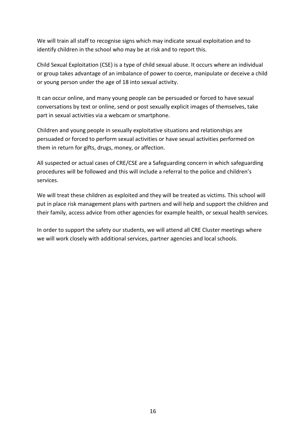We will train all staff to recognise signs which may indicate sexual exploitation and to identify children in the school who may be at risk and to report this.

Child Sexual Exploitation (CSE) is a type of child sexual abuse. It occurs where an individual or group takes advantage of an imbalance of power to coerce, manipulate or deceive a child or young person under the age of 18 into sexual activity.

It can occur online, and many young people can be persuaded or forced to have sexual conversations by text or online, send or post sexually explicit images of themselves, take part in sexual activities via a webcam or smartphone.

Children and young people in sexually exploitative situations and relationships are persuaded or forced to perform sexual activities or have sexual activities performed on them in return for gifts, drugs, money, or affection.

All suspected or actual cases of CRE/CSE are a Safeguarding concern in which safeguarding procedures will be followed and this will include a referral to the police and children's services.

We will treat these children as exploited and they will be treated as victims. This school will put in place risk management plans with partners and will help and support the children and their family, access advice from other agencies for example health, or sexual health services.

In order to support the safety our students, we will attend all CRE Cluster meetings where we will work closely with additional services, partner agencies and local schools.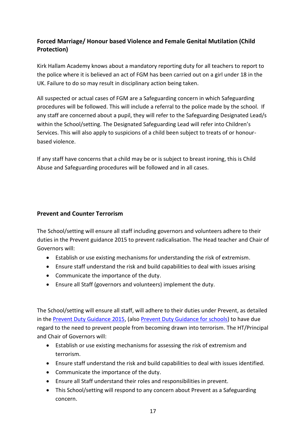# **Forced Marriage/ Honour based Violence and Female Genital Mutilation (Child Protection)**

Kirk Hallam Academy knows about a mandatory reporting duty for all teachers to report to the police where it is believed an act of FGM has been carried out on a girl under 18 in the UK. Failure to do so may result in disciplinary action being taken.

All suspected or actual cases of FGM are a Safeguarding concern in which Safeguarding procedures will be followed. This will include a referral to the police made by the school. If any staff are concerned about a pupil, they will refer to the Safeguarding Designated Lead/s within the School/setting. The Designated Safeguarding Lead will refer into Children's Services. This will also apply to suspicions of a child been subject to treats of or honourbased violence.

If any staff have concerns that a child may be or is subject to breast ironing, this is Child Abuse and Safeguarding procedures will be followed and in all cases.

#### **Prevent and Counter Terrorism**

The School/setting will ensure all staff including governors and volunteers adhere to their duties in the Prevent guidance 2015 to prevent radicalisation. The Head teacher and Chair of Governors will:

- Establish or use existing mechanisms for understanding the risk of extremism.
- Ensure staff understand the risk and build capabilities to deal with issues arising
- Communicate the importance of the duty.
- Ensure all Staff (governors and volunteers) implement the duty.

The School/setting will ensure all staff, will adhere to their duties under Prevent, as detailed in the [Prevent Duty Guidance 2015,](https://www.gov.uk/government/publications/prevent-duty-guidance) (also [Prevent Duty Guidance for schools\)](https://www.gov.uk/government/publications/protecting-children-from-radicalisation-the-prevent-duty) to have due regard to the need to prevent people from becoming drawn into terrorism. The HT/Principal and Chair of Governors will:

- Establish or use existing mechanisms for assessing the risk of extremism and terrorism.
- Ensure staff understand the risk and build capabilities to deal with issues identified.
- Communicate the importance of the duty.
- Ensure all Staff understand their roles and responsibilities in prevent.
- This School/setting will respond to any concern about Prevent as a Safeguarding concern.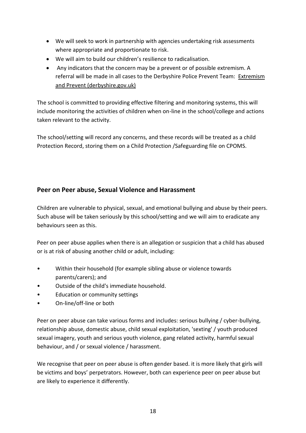- We will seek to work in partnership with agencies undertaking risk assessments where appropriate and proportionate to risk.
- We will aim to build our children's resilience to radicalisation.
- Any indicators that the concern may be a prevent or of possible extremism. A referral will be made in all cases to the Derbyshire Police Prevent Team: [Extremism](https://schoolsnet.derbyshire.gov.uk/keeping-children-safe-in-education/safeguarding-issues-for-schools-and-education-settings/extremism-and-prevent.aspx)  [and Prevent \(derbyshire.gov.uk\)](https://schoolsnet.derbyshire.gov.uk/keeping-children-safe-in-education/safeguarding-issues-for-schools-and-education-settings/extremism-and-prevent.aspx)

The school is committed to providing effective filtering and monitoring systems, this will include monitoring the activities of children when on-line in the school/college and actions taken relevant to the activity.

The school/setting will record any concerns, and these records will be treated as a child Protection Record, storing them on a Child Protection /Safeguarding file on CPOMS.

# **Peer on Peer abuse, Sexual Violence and Harassment**

Children are vulnerable to physical, sexual, and emotional bullying and abuse by their peers. Such abuse will be taken seriously by this school/setting and we will aim to eradicate any behaviours seen as this.

Peer on peer abuse applies when there is an allegation or suspicion that a child has abused or is at risk of abusing another child or adult, including:

- Within their household (for example sibling abuse or violence towards parents/carers); and
- Outside of the child's immediate household.
- Education or community settings
- On-line/off-line or both

Peer on peer abuse can take various forms and includes: serious bullying / cyber-bullying, relationship abuse, domestic abuse, child sexual exploitation, 'sexting' / youth produced sexual imagery, youth and serious youth violence, gang related activity, harmful sexual behaviour, and / or sexual violence / harassment.

We recognise that peer on peer abuse is often gender based. it is more likely that girls will be victims and boys' perpetrators. However, both can experience peer on peer abuse but are likely to experience it differently.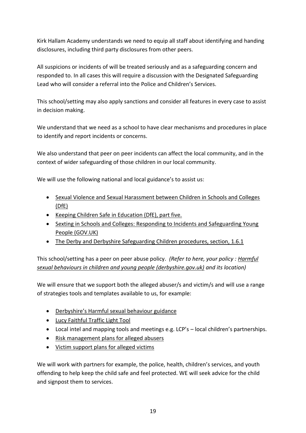Kirk Hallam Academy understands we need to equip all staff about identifying and handing disclosures, including third party disclosures from other peers.

All suspicions or incidents of will be treated seriously and as a safeguarding concern and responded to. In all cases this will require a discussion with the Designated Safeguarding Lead who will consider a referral into the Police and Children's Services.

This school/setting may also apply sanctions and consider all features in every case to assist in decision making.

We understand that we need as a school to have clear mechanisms and procedures in place to identify and report incidents or concerns.

We also understand that peer on peer incidents can affect the local community, and in the context of wider safeguarding of those children in our local community.

We will use the following national and local guidance's to assist us:

- [Sexual Violence and Sexual Harassment between Children in Schools and Colleges](https://www.gov.uk/government/publications/sexual-violence-and-sexual-harassment-between-children-in-schools-and-colleges)  [\(DfE\)](https://www.gov.uk/government/publications/sexual-violence-and-sexual-harassment-between-children-in-schools-and-colleges)
- [Keeping Children Safe in Education \(DfE\), part five.](https://www.gov.uk/government/publications/keeping-children-safe-in-education--2)
- [Sexting in Schools and Colleges: Responding to Incidents and Safeguarding Young](https://www.safeguardinginschools.co.uk/wp-content/uploads/2016/08/Sexting-in-schools-and-colleges-UKCCIS-August-2016.pdf)  [People \(GOV.UK\)](https://www.safeguardinginschools.co.uk/wp-content/uploads/2016/08/Sexting-in-schools-and-colleges-UKCCIS-August-2016.pdf)
- [The Derby and Derbyshire Safeguarding Children procedures, section, 1.6.1](https://derbyshirescbs.proceduresonline.com/index.htm)

This school/setting has a peer on peer abuse policy. *(Refer to here, your policy [: Harmful](https://schoolsnet.derbyshire.gov.uk/keeping-children-safe-in-education/safeguarding-issues-for-schools-and-education-settings/harmful-sexual-behaviours-in-children-and-young-people.aspx)  [sexual behaviours in children and young people \(derbyshire.gov.uk\)](https://schoolsnet.derbyshire.gov.uk/keeping-children-safe-in-education/safeguarding-issues-for-schools-and-education-settings/harmful-sexual-behaviours-in-children-and-young-people.aspx) and its location)*

We will ensure that we support both the alleged abuser/s and victim/s and will use a range of strategies tools and templates available to us, for example:

- [Derbyshire's Harmful sexual behaviour gui](https://schoolsnet.derbyshire.gov.uk/site-elements/documents/keeping-children-safe-in-education/emerging-school-safeguarding-themes/peer-on-peer-abuse-guidance-for-schools-and-colleges.pdf)dance
- [Lucy Faithful Traffic Light Tool](https://www.parentsprotect.co.uk/traffic-light-tools.htm)
- Local intel and mapping tools and meetings e.g. LCP's local children's partnerships.
- [Risk management plans for alleged abusers](https://schoolsnet.derbyshire.gov.uk/keeping-children-safe-in-education/safeguarding-issues-for-schools-and-education-settings/harmful-sexual-behaviours-in-children-and-young-people.aspx)
- [Victim support plans for alleged victims](https://schoolsnet.derbyshire.gov.uk/keeping-children-safe-in-education/safeguarding-issues-for-schools-and-education-settings/harmful-sexual-behaviours-in-children-and-young-people.aspx)

We will work with partners for example, the police, health, children's services, and youth offending to help keep the child safe and feel protected. WE will seek advice for the child and signpost them to services.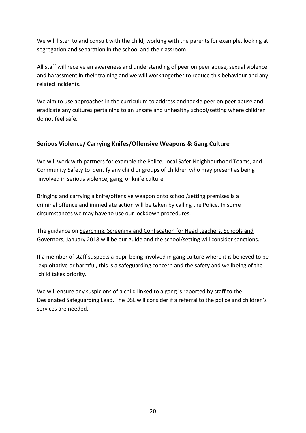We will listen to and consult with the child, working with the parents for example, looking at segregation and separation in the school and the classroom.

All staff will receive an awareness and understanding of peer on peer abuse, sexual violence and harassment in their training and we will work together to reduce this behaviour and any related incidents.

We aim to use approaches in the curriculum to address and tackle peer on peer abuse and eradicate any cultures pertaining to an unsafe and unhealthy school/setting where children do not feel safe.

# **Serious Violence/ Carrying Knifes/Offensive Weapons & Gang Culture**

We will work with partners for example the Police, local Safer Neighbourhood Teams, and Community Safety to identify any child or groups of children who may present as being involved in serious violence, gang, or knife culture.

Bringing and carrying a knife/offensive weapon onto school/setting premises is a criminal offence and immediate action will be taken by calling the Police. In some circumstances we may have to use our lockdown procedures.

The guidance on [Searching, Screening and Confiscation for Head teachers, Schools and](https://www.gov.uk/government/publications/searching-screening-and-confiscation)  [Governors, January 2018](https://www.gov.uk/government/publications/searching-screening-and-confiscation) will be our guide and the school/setting will consider sanctions.

If a member of staff suspects a pupil being involved in gang culture where it is believed to be exploitative or harmful, this is a safeguarding concern and the safety and wellbeing of the child takes priority.

We will ensure any suspicions of a child linked to a gang is reported by staff to the Designated Safeguarding Lead. The DSL will consider if a referral to the police and children's services are needed.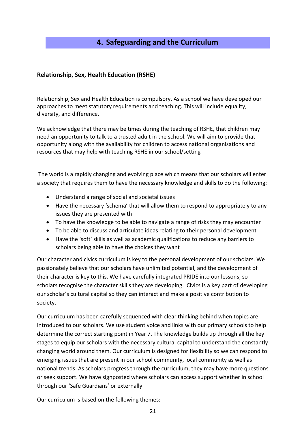# **4. Safeguarding and the Curriculum**

# **Relationship, Sex, Health Education (RSHE)**

Relationship, Sex and Health Education is compulsory. As a school we have developed our approaches to meet statutory requirements and teaching. This will include equality, diversity, and difference.

We acknowledge that there may be times during the teaching of RSHE, that children may need an opportunity to talk to a trusted adult in the school. We will aim to provide that opportunity along with the availability for children to access national organisations and resources that may help with teaching RSHE in our school/setting

The world is a rapidly changing and evolving place which means that our scholars will enter a society that requires them to have the necessary knowledge and skills to do the following:

- Understand a range of social and societal issues
- Have the necessary 'schema' that will allow them to respond to appropriately to any issues they are presented with
- To have the knowledge to be able to navigate a range of risks they may encounter
- To be able to discuss and articulate ideas relating to their personal development
- Have the 'soft' skills as well as academic qualifications to reduce any barriers to scholars being able to have the choices they want

Our character and civics curriculum is key to the personal development of our scholars. We passionately believe that our scholars have unlimited potential, and the development of their character is key to this. We have carefully integrated PRIDE into our lessons, so scholars recognise the character skills they are developing. Civics is a key part of developing our scholar's cultural capital so they can interact and make a positive contribution to society.

Our curriculum has been carefully sequenced with clear thinking behind when topics are introduced to our scholars. We use student voice and links with our primary schools to help determine the correct starting point in Year 7. The knowledge builds up through all the key stages to equip our scholars with the necessary cultural capital to understand the constantly changing world around them. Our curriculum is designed for flexibility so we can respond to emerging issues that are present in our school community, local community as well as national trends. As scholars progress through the curriculum, they may have more questions or seek support. We have signposted where scholars can access support whether in school through our 'Safe Guardians' or externally.

Our curriculum is based on the following themes: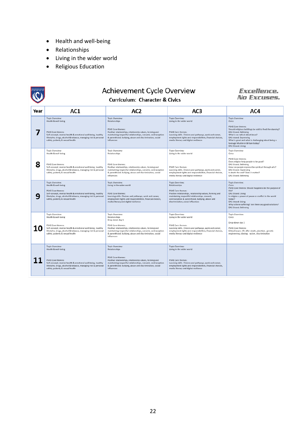- Health and well-being
- Relationships
- Living in the wider world
- Religious Education

# IC

# Achievement Cycle Overview **Curriculum: Character & Civics**

#### **Excellence. No Excuses.**

| Year | AC <sub>1</sub>                                                                                                                                                                                                                                                                                                                                                                                                                                                                  | AC <sub>2</sub>                                                                                                                                                                                                                                                                                                                                                                                                                                                                                                                                 | AC3                                                                                                                                                                                                                                                                                                                                                                                                                                                                               | AC4                                                                                                                                                                                                                                                                                                                                                                                                                                                                                                                                                                                              |
|------|----------------------------------------------------------------------------------------------------------------------------------------------------------------------------------------------------------------------------------------------------------------------------------------------------------------------------------------------------------------------------------------------------------------------------------------------------------------------------------|-------------------------------------------------------------------------------------------------------------------------------------------------------------------------------------------------------------------------------------------------------------------------------------------------------------------------------------------------------------------------------------------------------------------------------------------------------------------------------------------------------------------------------------------------|-----------------------------------------------------------------------------------------------------------------------------------------------------------------------------------------------------------------------------------------------------------------------------------------------------------------------------------------------------------------------------------------------------------------------------------------------------------------------------------|--------------------------------------------------------------------------------------------------------------------------------------------------------------------------------------------------------------------------------------------------------------------------------------------------------------------------------------------------------------------------------------------------------------------------------------------------------------------------------------------------------------------------------------------------------------------------------------------------|
| 8    | Topic Overview:<br>Health & well-being<br><b>PSHE Core themes:</b><br>Self-concept, mental health & emotional well-being, healthy<br>lifestyles, drugs, alcohol & tobacco, managing risk & personal<br>safety, puberty & sexual health<br>Topic Overview:<br>Health & well-being<br><b>PSHE Core themes:</b><br>Self-concept, mental health & emotional well-being, healthy<br>lifestyles, drugs, alcohol & tobacco, managing risk & personal<br>safety, puberty & sexual health | Topic Overview:<br>Relationships<br><b>PSHE Core themes:</b><br>Positive relationships, relationship values, forming and<br>maintaining respectful relationships, consent, contraception<br>& parenthood, bullying, abuse and discrimination, social<br><b>influences</b><br>Topic Overview:<br>Relationships<br><b>PSHE Core themes:</b><br>Positive relationships, relationship values, forming and<br>maintaining respectful relationships, consent, contraception<br>& parenthood, bullying, abuse and discrimination, social<br>influences | Topic Overview:<br>Living in the wider world<br><b>PSHE Core themes:</b><br>Learning skills. Choices and pathways, work and career,<br>employment tights and responsibilities, financial choices,<br>media literacy and digital resilience<br>Topic Overview:<br>Living in the wider world<br>PSHE Core themes:<br>Learning skills. Choices and pathways, work and career,<br>employment tights and responsibilities, financial choices,<br>media literacy and digital resilience | Topic Overview:<br><b>Civics</b><br>PSHE Core themes:<br>Should religious buildings be sold to feed the starving?<br>DAS Strand: Believing<br>What is so radical about Jesus?<br>DAS strand: Expressing<br>What is good and what is challenging about being a<br>teenage Muslim in Britain today?<br>DAS Strand: Living<br>Topic Overview:<br><b>Civies</b><br>PSHE Core themes:<br>Does religion help people to be good?<br>DAS Strand: Believing<br>How can people express the spiritual through arts?<br>DAS Strand: Expressing<br>Is death the end? Does it matter?<br>DAS Strand: Believing |
| 9    | Topic Overview:<br>Health & well-being<br><b>PSHE Core themes:</b><br>Self-concept, mental health & emotional well-being, healthy<br>lifestyles, drugs, alcohol & tobacco, managing risk & personal<br>safety, puberty & sexual health                                                                                                                                                                                                                                           | Topic Overview:<br>Living in the wider world<br><b>PSHE Core themes:</b><br>Learning skills. Choices and pathways, work and career,<br>employment tights and responsibilities, financial choices,<br>media literacy and digital resilience                                                                                                                                                                                                                                                                                                      | Topic Overview:<br>Relationships<br><b>PSHE Core themes:</b><br>Positive relationships, relationship values, forming and<br>maintaining respectful relationships, consent,<br>contraception & parenthood, bullying, abuse and<br>discrimination, social influences                                                                                                                                                                                                                | Topic Overview:<br><b>Civics</b><br>PSHE Core themes: Should happiness be the purpose of<br>life?<br>DAS Strand: Living<br>Is religion a power of peace or conflict in the world<br>today?<br>DAS strand: Living<br>Why is there suffering? Are there any good solutions?<br>DAS Strand: Believing                                                                                                                                                                                                                                                                                               |
|      | Topic Overview:<br>Health & well-being<br>PSHE Core themes:<br>Self-concept, mental health & emotional well-being, healthy<br>lifestyles, drugs, alcohol & tobacco, managing risk & personal<br>safety, puberty & sexual health                                                                                                                                                                                                                                                  | Topic Overview:<br>Relationships<br>Drop-down day 1<br>PSHE Core themes:<br>Positive relationships, relationship values, forming and<br>maintaining respectful relationships, consent, contraception<br>& parenthood, bullying, abuse and discrimination, social<br>influences                                                                                                                                                                                                                                                                  | Topic Overview:<br>Living in the wider world<br>PSHE Core themes:<br>Learning skills. Choices and pathways, work and career,<br>employment tights and responsibilities, financial choices,<br>media literacy and digital resilience                                                                                                                                                                                                                                               | Topic Overview:<br>Civics<br>Drop-down day 2<br>PSHE Core themes:<br>Ethical issues: life after death, abortion, genetic<br>engineering, cloning, racism, discrimination                                                                                                                                                                                                                                                                                                                                                                                                                         |
|      | Topic Overview:<br>Health & well-being<br><b>PSHE Core themes:</b><br>Self-concept, mental health & emotional well-being, healthy<br>lifestyles, drugs, alcohol & tobacco, managing risk & personal<br>safety, puberty & sexual health                                                                                                                                                                                                                                           | Topic Overview:<br>Relationships<br>PSHE Core themes:<br>Positive relationships, relationship values, forming and<br>maintaining respectful relationships, consent, contraception<br>& parenthood, bullying, abuse and discrimination, social<br><b>influences</b>                                                                                                                                                                                                                                                                              | Topic Overview:<br>Living in the wider world<br>PSHE Core themes:<br>Learning skills. Choices and pathways, work and career,<br>employment tights and responsibilities, financial choices,<br>media literacy and digital resilience                                                                                                                                                                                                                                               |                                                                                                                                                                                                                                                                                                                                                                                                                                                                                                                                                                                                  |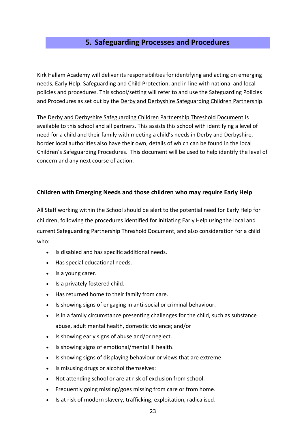# **5. Safeguarding Processes and Procedures**

Kirk Hallam Academy will deliver its responsibilities for identifying and acting on emerging needs, Early Help, Safeguarding and Child Protection, and in line with national and local policies and procedures. This school/setting will refer to and use the Safeguarding Policies and Procedures as set out by the [Derby and Derbyshire Safeguarding Children Partnership.](https://schoolsnet.derbyshire.gov.uk/keeping-children-safe-in-education/derby-and-derbyshire-safeguarding-children-partnership/derby-and-derbyshire-safeguarding-children-partnership.aspx)

The [Derby and Derbyshire Safeguarding Children Partnership Threshold Document](https://derbyshirescbs.proceduresonline.com/docs_library.html#guidance) is available to this school and all partners. This assists this school with identifying a level of need for a child and their family with meeting a child's needs in Derby and Derbyshire, border local authorities also have their own, details of which can be found in the local Children's Safeguarding Procedures. This document will be used to help identify the level of concern and any next course of action.

#### **Children with Emerging Needs and those children who may require Early Help**

All Staff working within the School should be alert to the potential need for Early Help for children, following the procedures identified for initiating Early Help using the local and current Safeguarding Partnership Threshold Document, and also consideration for a child who:

- Is disabled and has specific additional needs.
- Has special educational needs.
- Is a young carer.
- Is a privately fostered child.
- Has returned home to their family from care.
- Is showing signs of engaging in anti-social or criminal behaviour.
- Is in a family circumstance presenting challenges for the child, such as substance abuse, adult mental health, domestic violence; and/or
- Is showing early signs of abuse and/or neglect.
- Is showing signs of emotional/mental ill health.
- Is showing signs of displaying behaviour or views that are extreme.
- Is misusing drugs or alcohol themselves:
- Not attending school or are at risk of exclusion from school.
- Frequently going missing/goes missing from care or from home.
- Is at risk of modern slavery, trafficking, exploitation, radicalised.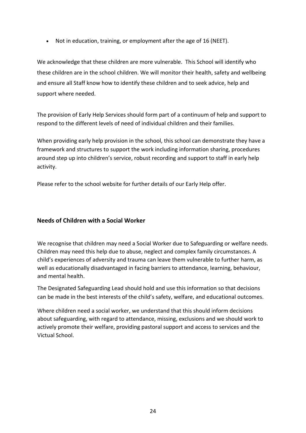• Not in education, training, or employment after the age of 16 (NEET).

We acknowledge that these children are more vulnerable. This School will identify who these children are in the school children. We will monitor their health, safety and wellbeing and ensure all Staff know how to identify these children and to seek advice, help and support where needed.

The provision of Early Help Services should form part of a continuum of help and support to respond to the different levels of need of individual children and their families.

When providing early help provision in the school, this school can demonstrate they have a framework and structures to support the work including information sharing, procedures around step up into children's service, robust recording and support to staff in early help activity.

Please refer to the school website for further details of our Early Help offer.

# **Needs of Children with a Social Worker**

We recognise that children may need a Social Worker due to Safeguarding or welfare needs. Children may need this help due to abuse, neglect and complex family circumstances. A child's experiences of adversity and trauma can leave them vulnerable to further harm, as well as educationally disadvantaged in facing barriers to attendance, learning, behaviour, and mental health.

The Designated Safeguarding Lead should hold and use this information so that decisions can be made in the best interests of the child's safety, welfare, and educational outcomes.

Where children need a social worker, we understand that this should inform decisions about safeguarding, with regard to attendance, missing, exclusions and we should work to actively promote their welfare, providing pastoral support and access to services and the Victual School.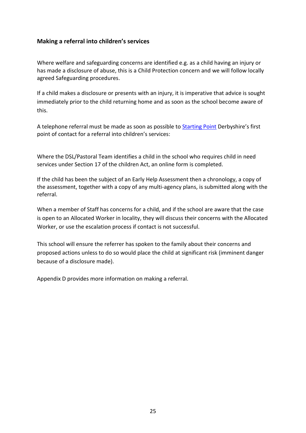#### **Making a referral into children's services**

Where welfare and safeguarding concerns are identified e.g. as a child having an injury or has made a disclosure of abuse, this is a Child Protection concern and we will follow locally agreed Safeguarding procedures.

If a child makes a disclosure or presents with an injury, it is imperative that advice is sought immediately prior to the child returning home and as soon as the school become aware of this.

A telephone referral must be made as soon as possible to [Starting Point](https://www.derbyshire.gov.uk/social-health/children-and-families/support-for-families/starting-point-referral-form/starting-point-contact-and-referral-service.aspx) Derbyshire's first point of contact for a referral into children's services:

Where the DSL/Pastoral Team identifies a child in the school who requires child in need services under Section 17 of the children Act, an online form is completed.

If the child has been the subject of an Early Help Assessment then a chronology, a copy of the assessment, together with a copy of any multi-agency plans, is submitted along with the referral.

When a member of Staff has concerns for a child, and if the school are aware that the case is open to an Allocated Worker in locality, they will discuss their concerns with the Allocated Worker, or use the escalation process if contact is not successful.

This school will ensure the referrer has spoken to the family about their concerns and proposed actions unless to do so would place the child at significant risk (imminent danger because of a disclosure made).

Appendix D provides more information on making a referral.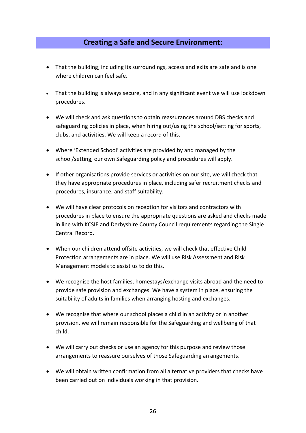# **Creating a Safe and Secure Environment:**

- That the building; including its surroundings, access and exits are safe and is one where children can feel safe.
- That the building is always secure, and in any significant event we will use lockdown procedures.
- We will check and ask questions to obtain reassurances around DBS checks and safeguarding policies in place, when hiring out/using the school/setting for sports, clubs, and activities. We will keep a record of this.
- Where 'Extended School' activities are provided by and managed by the school/setting, our own Safeguarding policy and procedures will apply.
- If other organisations provide services or activities on our site, we will check that they have appropriate procedures in place, including safer recruitment checks and procedures, insurance, and staff suitability.
- We will have clear protocols on reception for visitors and contractors with procedures in place to ensure the appropriate questions are asked and checks made in line with KCSIE and Derbyshire County Council requirements regarding the Single Central Record*.*
- When our children attend offsite activities, we will check that effective Child Protection arrangements are in place. We will use Risk Assessment and Risk Management models to assist us to do this.
- We recognise the host families, homestays/exchange visits abroad and the need to provide safe provision and exchanges. We have a system in place, ensuring the suitability of adults in families when arranging hosting and exchanges.
- We recognise that where our school places a child in an activity or in another provision, we will remain responsible for the Safeguarding and wellbeing of that child.
- We will carry out checks or use an agency for this purpose and review those arrangements to reassure ourselves of those Safeguarding arrangements.
- We will obtain written confirmation from all alternative providers that checks have been carried out on individuals working in that provision.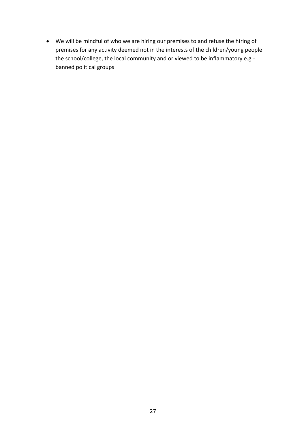• We will be mindful of who we are hiring our premises to and refuse the hiring of premises for any activity deemed not in the interests of the children/young people the school/college, the local community and or viewed to be inflammatory e.g. banned political groups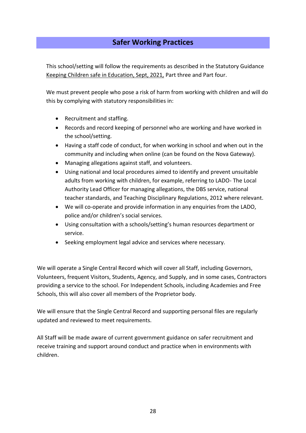# **Safer Working Practices**

This school/setting will follow the requirements as described in the Statutory Guidance [Keeping Children safe in Education, Sept, 2021,](https://www.gov.uk/government/publications/keeping-children-safe-in-education--2) Part three and Part four.

We must prevent people who pose a risk of harm from working with children and will do this by complying with statutory responsibilities in:

- Recruitment and staffing.
- Records and record keeping of personnel who are working and have worked in the school/setting.
- Having a staff code of conduct, for when working in school and when out in the community and including when online (can be found on the Nova Gateway).
- Managing allegations against staff, and volunteers.
- Using national and local procedures aimed to identify and prevent unsuitable adults from working with children, for example, referring to LADO- The Local Authority Lead Officer for managing allegations, the DBS service, national teacher standards, and Teaching Disciplinary Regulations, 2012 where relevant.
- We will co-operate and provide information in any enquiries from the LADO, police and/or children's social services.
- Using consultation with a schools/setting's human resources department or service.
- Seeking employment legal advice and services where necessary.

We will operate a Single Central Record which will cover all Staff, including Governors, Volunteers, frequent Visitors, Students, Agency, and Supply, and in some cases, Contractors providing a service to the school. For Independent Schools, including Academies and Free Schools, this will also cover all members of the Proprietor body.

We will ensure that the Single Central Record and supporting personal files are regularly updated and reviewed to meet requirements.

All Staff will be made aware of current government guidance on safer recruitment and receive training and support around conduct and practice when in environments with children.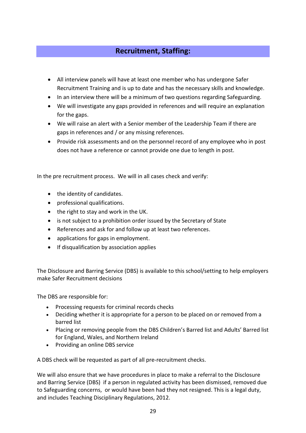# **Recruitment, Staffing:**

- All interview panels will have at least one member who has undergone Safer Recruitment Training and is up to date and has the necessary skills and knowledge.
- In an interview there will be a minimum of two questions regarding Safeguarding.
- We will investigate any gaps provided in references and will require an explanation for the gaps.
- We will raise an alert with a Senior member of the Leadership Team if there are gaps in references and / or any missing references.
- Provide risk assessments and on the personnel record of any employee who in post does not have a reference or cannot provide one due to length in post.

In the pre recruitment process. We will in all cases check and verify:

- the identity of candidates.
- professional qualifications.
- the right to stay and work in the UK.
- is not subject to a prohibition order issued by the Secretary of State
- References and ask for and follow up at least two references.
- applications for gaps in employment.
- If disqualification by association applies

The Disclosure and Barring Service (DBS) is available to this school/setting to help employers make Safer Recruitment decisions

The DBS are responsible for:

- Processing requests for criminal records checks
- Deciding whether it is appropriate for a person to be placed on or removed from a barred list
- Placing or removing people from the DBS Children's Barred list and Adults' Barred list for England, Wales, and Northern Ireland
- Providing an online DBS service

A DBS check will be requested as part of all pre-recruitment checks.

We will also ensure that we have procedures in place to make a referral to the Disclosure and Barring Service (DBS) if a person in regulated activity has been dismissed, removed due to Safeguarding concerns, or would have been had they not resigned. This is a legal duty, and includes Teaching Disciplinary Regulations, 2012.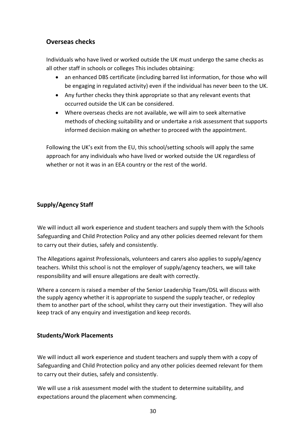# **Overseas checks**

Individuals who have lived or worked outside the UK must undergo the same checks as all other staff in schools or colleges This includes obtaining:

- an enhanced DBS certificate (including barred list information, for those who will be engaging in regulated activity) even if the individual has never been to the UK.
- Any further checks they think appropriate so that any relevant events that occurred outside the UK can be considered.
- Where overseas checks are not available, we will aim to seek alternative methods of checking suitability and or undertake a risk assessment that supports informed decision making on whether to proceed with the appointment.

Following the UK's exit from the EU, this school/setting schools will apply the same approach for any individuals who have lived or worked outside the UK regardless of whether or not it was in an EEA country or the rest of the world.

# **Supply/Agency Staff**

We will induct all work experience and student teachers and supply them with the Schools Safeguarding and Child Protection Policy and any other policies deemed relevant for them to carry out their duties, safely and consistently.

The Allegations against Professionals, volunteers and carers also applies to supply/agency teachers. Whilst this school is not the employer of supply/agency teachers, we will take responsibility and will ensure allegations are dealt with correctly.

Where a concern is raised a member of the Senior Leadership Team/DSL will discuss with the supply agency whether it is appropriate to suspend the supply teacher, or redeploy them to another part of the school, whilst they carry out their investigation. They will also keep track of any enquiry and investigation and keep records.

# **Students/Work Placements**

We will induct all work experience and student teachers and supply them with a copy of Safeguarding and Child Protection policy and any other policies deemed relevant for them to carry out their duties, safely and consistently.

We will use a risk assessment model with the student to determine suitability, and expectations around the placement when commencing.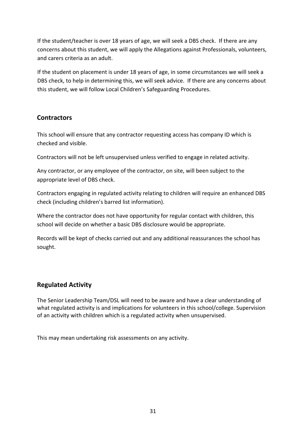If the student/teacher is over 18 years of age, we will seek a DBS check. If there are any concerns about this student, we will apply the Allegations against Professionals, volunteers, and carers criteria as an adult.

If the student on placement is under 18 years of age, in some circumstances we will seek a DBS check, to help in determining this, we will seek advice. If there are any concerns about this student, we will follow Local Children's Safeguarding Procedures.

# **Contractors**

This school will ensure that any contractor requesting access has company ID which is checked and visible.

Contractors will not be left unsupervised unless verified to engage in related activity.

Any contractor, or any employee of the contractor, on site, will been subject to the appropriate level of DBS check.

Contractors engaging in regulated activity relating to children will require an enhanced DBS check (including children's barred list information).

Where the contractor does not have opportunity for regular contact with children, this school will decide on whether a basic DBS disclosure would be appropriate.

Records will be kept of checks carried out and any additional reassurances the school has sought.

# **Regulated Activity**

The Senior Leadership Team/DSL will need to be aware and have a clear understanding of what regulated activity is and implications for volunteers in this school/college. Supervision of an activity with children which is a regulated activity when unsupervised.

This may mean undertaking risk assessments on any activity.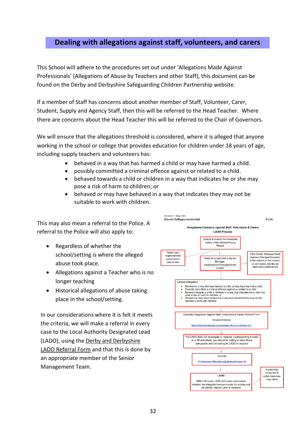# **Dealing with allegations against staff, volunteers, and carers**

This School will adhere to the procedures set out under 'Allegations Made Against Professionals' (Allegations of Abuse by Teachers and other Staff), this document can be found on the Derby and Derbyshire Safeguarding Children Partnership website.

If a member of Staff has concerns about another member of Staff, Volunteer, Carer, Student, Supply and Agency Staff, then this will be referred to the Head Teacher. Where there are concerns about the Head Teacher this will be referred to the Chair of Governors.

We will ensure that the allegations threshold is considered, where it is alleged that anyone working in the school or college that provides education for children under 18 years of age, including supply teachers and volunteers has:

- behaved in a way that has harmed a child or may have harmed a child.
- possibly committed a criminal offence against or related to a child.
- behaved towards a child or children in a way that indicates he or she may pose a risk of harm to children; or
- behaved or may have behaved in a way that indicates they may not be suitable to work with children.

This may also mean a referral to the Police. A referral to the Police will also apply to:

- Regardless of whether the school/setting is where the alleged abuse took place.
- Allegations against a Teacher who is no longer teaching
- Historical allegations of abuse taking place in the school/setting.

In our considerations where it is felt it meets the criteria, we will make a referral in every case to the Local Authority Designated Lead (LADO), using the [Derby and Derbyshire](http://www.proceduresonline.com/derbyshire/scbs/user_controlled_lcms_area/uploaded_files/Derby%20and%20Derbyshire%20LADO%20referral%20form%20FINAL%20March%202017.docx)  [LADO Referral Form](http://www.proceduresonline.com/derbyshire/scbs/user_controlled_lcms_area/uploaded_files/Derby%20and%20Derbyshire%20LADO%20referral%20form%20FINAL%20March%202017.docx) and that this is done by an appropriate member of the Senior Management Team.

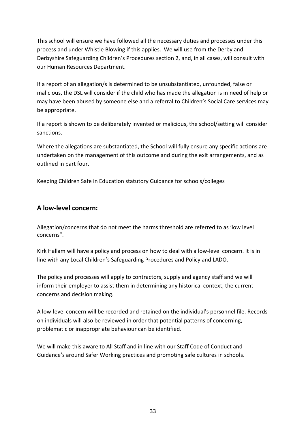This school will ensure we have followed all the necessary duties and processes under this process and under Whistle Blowing if this applies. We will use from the Derby and Derbyshire Safeguarding Children's Procedures section 2, and, in all cases, will consult with our Human Resources Department.

If a report of an allegation/s is determined to be unsubstantiated, unfounded, false or malicious, the DSL will consider if the child who has made the allegation is in need of help or may have been abused by someone else and a referral to Children's Social Care services may be appropriate.

If a report is shown to be deliberately invented or malicious, the school/setting will consider sanctions.

Where the allegations are substantiated, the School will fully ensure any specific actions are undertaken on the management of this outcome and during the exit arrangements, and as outlined in part four.

#### [Keeping Children Safe in Education statutory Guidance for schools/colleges](https://www.gov.uk/government/publications/keeping-children-safe-in-education--2)

# **A low-level concern:**

Allegation/concerns that do not meet the harms threshold are referred to as 'low level concerns".

Kirk Hallam will have a policy and process on how to deal with a low-level concern. It is in line with any Local Children's Safeguarding Procedures and Policy and LADO.

The policy and processes will apply to contractors, supply and agency staff and we will inform their employer to assist them in determining any historical context, the current concerns and decision making.

A low-level concern will be recorded and retained on the individual's personnel file. Records on individuals will also be reviewed in order that potential patterns of concerning, problematic or inappropriate behaviour can be identified.

We will make this aware to All Staff and in line with our Staff Code of Conduct and Guidance's around Safer Working practices and promoting safe cultures in schools.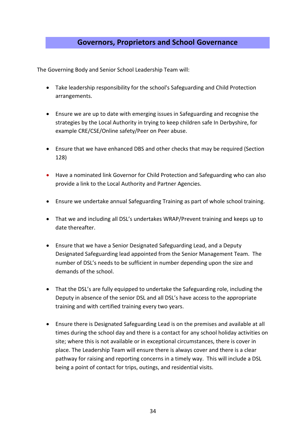# **Governors, Proprietors and School Governance**

The Governing Body and Senior School Leadership Team will:

- Take leadership responsibility for the school's Safeguarding and Child Protection arrangements.
- Ensure we are up to date with emerging issues in Safeguarding and recognise the strategies by the Local Authority in trying to keep children safe In Derbyshire, for example CRE/CSE/Online safety/Peer on Peer abuse.
- Ensure that we have enhanced DBS and other checks that may be required (Section 128)
- Have a nominated link Governor for Child Protection and Safeguarding who can also provide a link to the Local Authority and Partner Agencies.
- Ensure we undertake annual Safeguarding Training as part of whole school training.
- That we and including all DSL's undertakes WRAP/Prevent training and keeps up to date thereafter.
- Ensure that we have a Senior Designated Safeguarding Lead, and a Deputy Designated Safeguarding lead appointed from the Senior Management Team. The number of DSL's needs to be sufficient in number depending upon the size and demands of the school.
- That the DSL's are fully equipped to undertake the Safeguarding role, including the Deputy in absence of the senior DSL and all DSL's have access to the appropriate training and with certified training every two years.
- Ensure there is Designated Safeguarding Lead is on the premises and available at all times during the school day and there is a contact for any school holiday activities on site; where this is not available or in exceptional circumstances, there is cover in place. The Leadership Team will ensure there is always cover and there is a clear pathway for raising and reporting concerns in a timely way. This will include a DSL being a point of contact for trips, outings, and residential visits.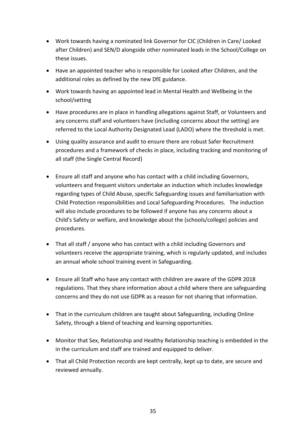- Work towards having a nominated link Governor for CIC (Children in Care/ Looked after Children) and SEN/D alongside other nominated leads in the School/College on these issues.
- Have an appointed teacher who is responsible for Looked after Children, and the additional roles as defined by the new DfE guidance.
- Work towards having an appointed lead in Mental Health and Wellbeing in the school/setting
- Have procedures are in place in handling allegations against Staff, or Volunteers and any concerns staff and volunteers have (including concerns about the setting) are referred to the Local Authority Designated Lead (LADO) where the threshold is met.
- Using quality assurance and audit to ensure there are robust Safer Recruitment procedures and a framework of checks in place, including tracking and monitoring of all staff (the Single Central Record)
- Ensure all staff and anyone who has contact with a child including Governors, volunteers and frequent visitors undertake an induction which includes knowledge regarding types of Child Abuse, specific Safeguarding issues and familiarisation with Child Protection responsibilities and Local Safeguarding Procedures. The induction will also include procedures to be followed if anyone has any concerns about a Child's Safety or welfare, and knowledge about the (schools/college) policies and procedures.
- That all staff / anyone who has contact with a child including Governors and volunteers receive the appropriate training, which is regularly updated, and includes an annual whole school training event in Safeguarding.
- Ensure all Staff who have any contact with children are aware of the GDPR 2018 regulations. That they share information about a child where there are safeguarding concerns and they do not use GDPR as a reason for not sharing that information.
- That in the curriculum children are taught about Safeguarding, including Online Safety, through a blend of teaching and learning opportunities.
- Monitor that Sex, Relationship and Healthy Relationship teaching is embedded in the in the curriculum and staff are trained and equipped to deliver.
- That all Child Protection records are kept centrally, kept up to date, are secure and reviewed annually.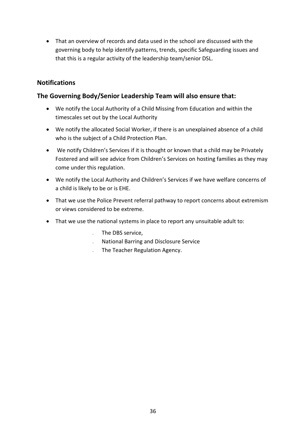• That an overview of records and data used in the school are discussed with the governing body to help identify patterns, trends, specific Safeguarding issues and that this is a regular activity of the leadership team/senior DSL.

# **Notifications**

# **The Governing Body/Senior Leadership Team will also ensure that:**

- We notify the Local Authority of a Child Missing from Education and within the timescales set out by the Local Authority
- We notify the allocated Social Worker, if there is an unexplained absence of a child who is the subject of a Child Protection Plan.
- We notify Children's Services if it is thought or known that a child may be Privately Fostered and will see advice from Children's Services on hosting families as they may come under this regulation.
- We notify the Local Authority and Children's Services if we have welfare concerns of a child is likely to be or is EHE.
- That we use the Police Prevent referral pathway to report concerns about extremism or views considered to be extreme.
- That we use the national systems in place to report any unsuitable adult to:
	- . The DBS service,
	- **National Barring and Disclosure Service**
	- . The Teacher Regulation Agency.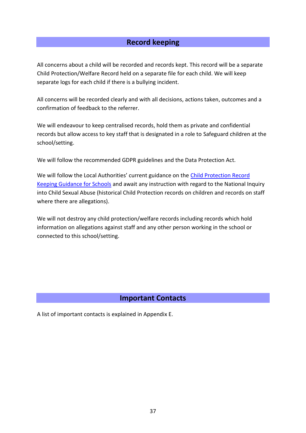# **Record keeping**

All concerns about a child will be recorded and records kept. This record will be a separate Child Protection/Welfare Record held on a separate file for each child. We will keep separate logs for each child if there is a bullying incident.

All concerns will be recorded clearly and with all decisions, actions taken, outcomes and a confirmation of feedback to the referrer.

We will endeavour to keep centralised records, hold them as private and confidential records but allow access to key staff that is designated in a role to Safeguard children at the school/setting.

We will follow the recommended GDPR guidelines and the Data Protection Act.

We will follow the Local Authorities' current guidance on the [Child Protection Record](https://schoolsnet.derbyshire.gov.uk/keeping-children-safe-in-education/safeguarding-policies-guidance-and-protocols/child-protection-record-keeping-guidance.aspx)  [Keeping Guidance for Schools](https://schoolsnet.derbyshire.gov.uk/keeping-children-safe-in-education/safeguarding-policies-guidance-and-protocols/child-protection-record-keeping-guidance.aspx) and await any instruction with regard to the National Inquiry into Child Sexual Abuse (historical Child Protection records on children and records on staff where there are allegations).

We will not destroy any child protection/welfare records including records which hold information on allegations against staff and any other person working in the school or connected to this school/setting.

# **Important Contacts**

A list of important contacts is explained in Appendix E.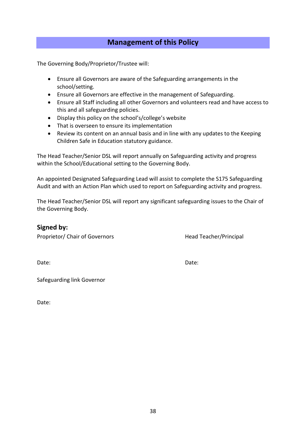# **Management of this Policy**

The Governing Body/Proprietor/Trustee will:

- Ensure all Governors are aware of the Safeguarding arrangements in the school/setting.
- Ensure all Governors are effective in the management of Safeguarding.
- Ensure all Staff including all other Governors and volunteers read and have access to this and all safeguarding policies.
- Display this policy on the school's/college's website
- That is overseen to ensure its implementation
- Review its content on an annual basis and in line with any updates to the Keeping Children Safe in Education statutory guidance.

The Head Teacher/Senior DSL will report annually on Safeguarding activity and progress within the School/Educational setting to the Governing Body.

An appointed Designated Safeguarding Lead will assist to complete the S175 Safeguarding Audit and with an Action Plan which used to report on Safeguarding activity and progress.

The Head Teacher/Senior DSL will report any significant safeguarding issues to the Chair of the Governing Body.

# **Signed by:**

Proprietor/ Chair of Governors Head Teacher/Principal

Date: **Date:** Date: **Date:** Partnership of the Contract of the Date: **Date:** Partnership of the Date:

Safeguarding link Governor

Date: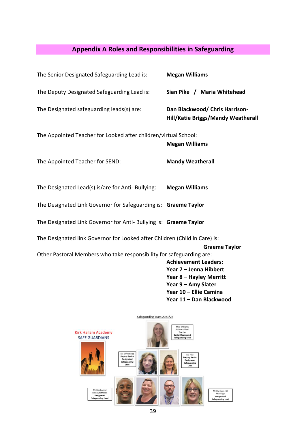# **Appendix A Roles and Responsibilities in Safeguarding**

| The Senior Designated Safeguarding Lead is:                                | <b>Megan Williams</b>                                                                                                                                        |
|----------------------------------------------------------------------------|--------------------------------------------------------------------------------------------------------------------------------------------------------------|
| The Deputy Designated Safeguarding Lead is:                                | Sian Pike / Maria Whitehead                                                                                                                                  |
| The Designated safeguarding leads(s) are:                                  | Dan Blackwood/ Chris Harrison-<br><b>Hill/Katie Briggs/Mandy Weatherall</b>                                                                                  |
| The Appointed Teacher for Looked after children/virtual School:            | <b>Megan Williams</b>                                                                                                                                        |
| The Appointed Teacher for SEND:                                            | <b>Mandy Weatherall</b>                                                                                                                                      |
| The Designated Lead(s) is/are for Anti- Bullying:                          | <b>Megan Williams</b>                                                                                                                                        |
| The Designated Link Governor for Safeguarding is: Graeme Taylor            |                                                                                                                                                              |
| The Designated Link Governor for Anti- Bullying is: Graeme Taylor          |                                                                                                                                                              |
| The Designated link Governor for Looked after Children (Child in Care) is: | <b>Graeme Taylor</b>                                                                                                                                         |
| Other Pastoral Members who take responsibility for safeguarding are:       | <b>Achievement Leaders:</b><br>Year 7 - Jenna Hibbert<br>Year 8 - Hayley Merritt<br>Year 9 - Amy Slater<br>Year 10 - Ellie Camina<br>Year 11 - Dan Blackwood |

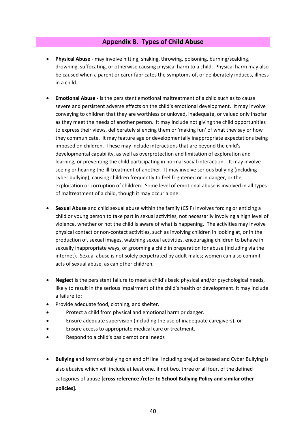#### **Appendix B. Types of Child Abuse**

- **Physical Abuse -** may involve hitting, shaking, throwing, poisoning, burning/scalding, drowning, suffocating, or otherwise causing physical harm to a child. Physical harm may also be caused when a parent or carer fabricates the symptoms of, or deliberately induces, illness in a child.
- **Emotional Abuse -** is the persistent emotional maltreatment of a child such as to cause severe and persistent adverse effects on the child's emotional development. It may involve conveying to children that they are worthless or unloved, inadequate, or valued only insofar as they meet the needs of another person. It may include not giving the child opportunities to express their views, deliberately silencing them or 'making fun' of what they say or how they communicate. It may feature age or developmentally inappropriate expectations being imposed on children. These may include interactions that are beyond the child's developmental capability, as well as overprotection and limitation of exploration and learning, or preventing the child participating in normal social interaction. It may involve seeing or hearing the ill-treatment of another. It may involve serious bullying (including cyber bullying), causing children frequently to feel frightened or in danger, or the exploitation or corruption of children. Some level of emotional abuse is involved in all types of maltreatment of a child, though it may occur alone.
- **Sexual Abuse** and child sexual abuse within the family (CSIF) involves forcing or enticing a child or young person to take part in sexual activities, not necessarily involving a high level of violence, whether or not the child is aware of what is happening. The activities may involve physical contact or non-contact activities, such as involving children in looking at, or in the production of, sexual images, watching sexual activities, encouraging children to behave in sexually inappropriate ways, or grooming a child in preparation for abuse (including via the internet). Sexual abuse is not solely perpetrated by adult males; women can also commit acts of sexual abuse, as can other children.
- **Neglect** is the persistent failure to meet a child's basic physical and/or psychological needs, likely to result in the serious impairment of the child's health or development. It may include a failure to:
- Provide adequate food, clothing, and shelter.
- Protect a child from physical and emotional harm or danger.
- Ensure adequate supervision (including the use of inadequate caregivers); or
- Ensure access to appropriate medical care or treatment.
- Respond to a child's basic emotional needs
- **Bullying** and forms of bullying on and off line including prejudice based and Cyber Bullying is also abusive which will include at least one, if not two, three or all four, of the defined categories of abuse **[cross reference /refer to School Bullying Policy and similar other policies].**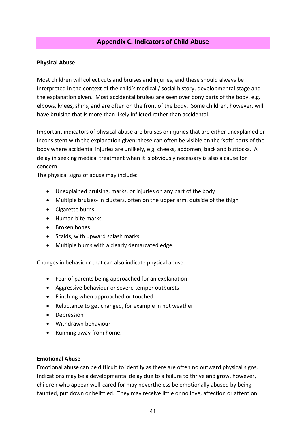# **Appendix C. Indicators of Child Abuse**

#### **Physical Abuse**

Most children will collect cuts and bruises and injuries, and these should always be interpreted in the context of the child's medical / social history, developmental stage and the explanation given. Most accidental bruises are seen over bony parts of the body, e.g. elbows, knees, shins, and are often on the front of the body. Some children, however, will have bruising that is more than likely inflicted rather than accidental.

Important indicators of physical abuse are bruises or injuries that are either unexplained or inconsistent with the explanation given; these can often be visible on the 'soft' parts of the body where accidental injuries are unlikely, e g, cheeks, abdomen, back and buttocks. A delay in seeking medical treatment when it is obviously necessary is also a cause for concern.

The physical signs of abuse may include:

- Unexplained bruising, marks, or injuries on any part of the body
- Multiple bruises- in clusters, often on the upper arm, outside of the thigh
- Cigarette burns
- Human bite marks
- Broken bones
- Scalds, with upward splash marks.
- Multiple burns with a clearly demarcated edge.

Changes in behaviour that can also indicate physical abuse:

- Fear of parents being approached for an explanation
- Aggressive behaviour or severe temper outbursts
- Flinching when approached or touched
- Reluctance to get changed, for example in hot weather
- Depression
- Withdrawn behaviour
- Running away from home.

#### **Emotional Abuse**

Emotional abuse can be difficult to identify as there are often no outward physical signs. Indications may be a developmental delay due to a failure to thrive and grow, however, children who appear well-cared for may nevertheless be emotionally abused by being taunted, put down or belittled. They may receive little or no love, affection or attention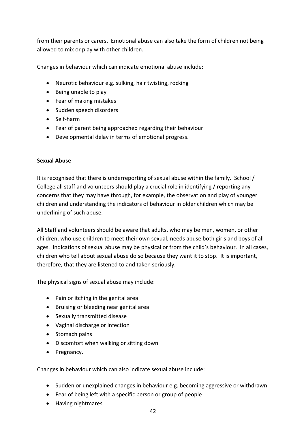from their parents or carers. Emotional abuse can also take the form of children not being allowed to mix or play with other children.

Changes in behaviour which can indicate emotional abuse include:

- Neurotic behaviour e.g. sulking, hair twisting, rocking
- Being unable to play
- Fear of making mistakes
- Sudden speech disorders
- Self-harm
- Fear of parent being approached regarding their behaviour
- Developmental delay in terms of emotional progress.

#### **Sexual Abuse**

It is recognised that there is underreporting of sexual abuse within the family. School / College all staff and volunteers should play a crucial role in identifying / reporting any concerns that they may have through, for example, the observation and play of younger children and understanding the indicators of behaviour in older children which may be underlining of such abuse.

All Staff and volunteers should be aware that adults, who may be men, women, or other children, who use children to meet their own sexual, needs abuse both girls and boys of all ages. Indications of sexual abuse may be physical or from the child's behaviour. In all cases, children who tell about sexual abuse do so because they want it to stop. It is important, therefore, that they are listened to and taken seriously.

The physical signs of sexual abuse may include:

- Pain or itching in the genital area
- Bruising or bleeding near genital area
- Sexually transmitted disease
- Vaginal discharge or infection
- Stomach pains
- Discomfort when walking or sitting down
- Pregnancy.

Changes in behaviour which can also indicate sexual abuse include:

- Sudden or unexplained changes in behaviour e.g. becoming aggressive or withdrawn
- Fear of being left with a specific person or group of people
- Having nightmares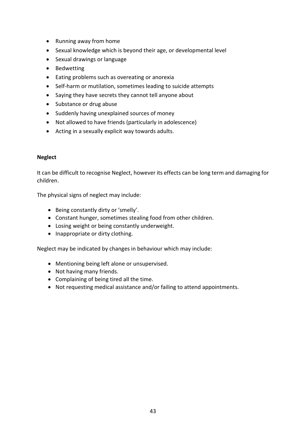- Running away from home
- Sexual knowledge which is beyond their age, or developmental level
- Sexual drawings or language
- Bedwetting
- Eating problems such as overeating or anorexia
- Self-harm or mutilation, sometimes leading to suicide attempts
- Saying they have secrets they cannot tell anyone about
- Substance or drug abuse
- Suddenly having unexplained sources of money
- Not allowed to have friends (particularly in adolescence)
- Acting in a sexually explicit way towards adults.

#### **Neglect**

It can be difficult to recognise Neglect, however its effects can be long term and damaging for children.

The physical signs of neglect may include:

- Being constantly dirty or 'smelly'.
- Constant hunger, sometimes stealing food from other children.
- Losing weight or being constantly underweight.
- Inappropriate or dirty clothing.

Neglect may be indicated by changes in behaviour which may include:

- Mentioning being left alone or unsupervised.
- Not having many friends.
- Complaining of being tired all the time.
- Not requesting medical assistance and/or failing to attend appointments.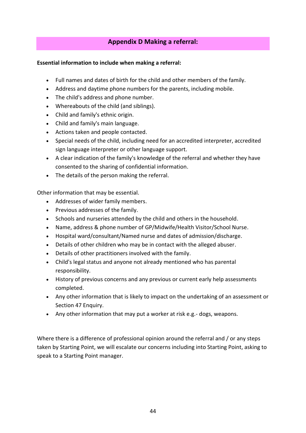# **Appendix D Making a referral:**

#### **Essential information to include when making a referral:**

- Full names and dates of birth for the child and other members of the family.
- Address and daytime phone numbers for the parents, including mobile.
- The child's address and phone number.
- Whereabouts of the child (and siblings).
- Child and family's ethnic origin.
- Child and family's main language.
- Actions taken and people contacted.
- Special needs of the child, including need for an accredited interpreter, accredited sign language interpreter or other language support.
- A clear indication of the family's knowledge of the referral and whether they have consented to the sharing of confidential information.
- The details of the person making the referral.

Other information that may be essential.

- Addresses of wider family members.
- Previous addresses of the family.
- Schools and nurseries attended by the child and others in the household.
- Name, address & phone number of GP/Midwife/Health Visitor/School Nurse.
- Hospital ward/consultant/Named nurse and dates of admission/discharge.
- Details of other children who may be in contact with the alleged abuser.
- Details of other practitioners involved with the family.
- Child's legal status and anyone not already mentioned who has parental responsibility.
- History of previous concerns and any previous or current early help assessments completed.
- Any other information that is likely to impact on the undertaking of an assessment or [Section 47 Enquiry.](http://trixresources.proceduresonline.com/nat_key/keywords/sec_47_enq.html)
- Any other information that may put a worker at risk e.g.- dogs, weapons.

Where there is a difference of professional opinion around the referral and / or any steps taken by Starting Point, we will escalate our concerns including into Starting Point, asking to speak to a Starting Point manager.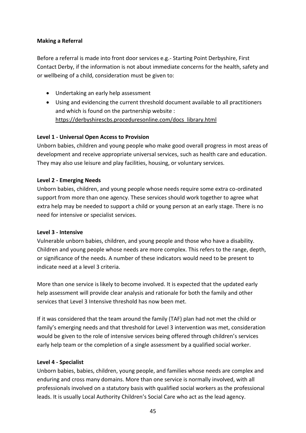#### **Making a Referral**

Before a referral is made into front door services e.g.- Starting Point Derbyshire, First Contact Derby, if the information is not about immediate concerns for the health, safety and or wellbeing of a child, consideration must be given to:

- Undertaking an early help assessment
- Using and evidencing the current threshold document available to all practitioners and which is found on the partnership website : [https://derbyshirescbs.proceduresonline.com/docs\\_library.html](https://derbyshirescbs.proceduresonline.com/docs_library.html)

#### **Level 1 - Universal Open Access to Provision**

Unborn babies, children and young people who make good overall progress in most areas of development and receive appropriate universal services, such as health care and education. They may also use leisure and play facilities, housing, or voluntary services.

#### **Level 2 - Emerging Needs**

Unborn babies, children, and young people whose needs require some extra co-ordinated support from more than one agency. These services should work together to agree what extra help may be needed to support a child or young person at an early stage. There is no need for intensive or specialist services.

#### **Level 3 - Intensive**

Vulnerable unborn babies, children, and young people and those who have a disability. Children and young people whose needs are more complex. This refers to the range, depth, or significance of the needs. A number of these indicators would need to be present to indicate need at a level 3 criteria.

More than one service is likely to become involved. It is expected that the updated early help assessment will provide clear analysis and rationale for both the family and other services that Level 3 Intensive threshold has now been met.

If it was considered that the team around the family (TAF) plan had not met the child or family's emerging needs and that threshold for Level 3 intervention was met, consideration would be given to the role of intensive services being offered through children's services early help team or the completion of a single assessment by a qualified social worker.

#### **Level 4 - Specialist**

Unborn babies, babies, children, young people, and families whose needs are complex and enduring and cross many domains. More than one service is normally involved, with all professionals involved on a statutory basis with qualified social workers as the professional leads. It is usually Local Authority Children's Social Care who act as the lead agency.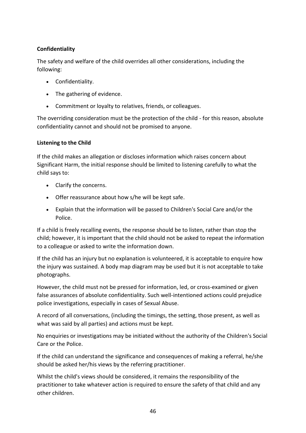#### **Confidentiality**

The safety and welfare of the child overrides all other considerations, including the following:

- Confidentiality.
- The gathering of evidence.
- Commitment or loyalty to relatives, friends, or colleagues.

The overriding consideration must be the protection of the child - for this reason, absolute confidentiality cannot and should not be promised to anyone.

#### **Listening to the Child**

If the child makes an allegation or discloses information which raises concern about Significant Harm, the initial response should be limited to listening carefully to what the child says to:

- Clarify the concerns.
- Offer reassurance about how s/he will be kept safe.
- Explain that the information will be passed to Children's Social Care and/or the Police.

If a child is freely recalling events, the response should be to listen, rather than stop the child; however, it is important that the child should not be asked to repeat the information to a colleague or asked to write the information down.

If the child has an injury but no explanation is volunteered, it is acceptable to enquire how the injury was sustained. A body map diagram may be used but it is not acceptable to take photographs.

However, the child must not be pressed for information, led, or cross-examined or given false assurances of absolute confidentiality. Such well-intentioned actions could prejudice police investigations, especially in cases of Sexual Abuse.

A record of all conversations, (including the timings, the setting, those present, as well as what was said by all parties) and actions must be kept.

No enquiries or investigations may be initiated without the authority of the Children's Social Care or the Police.

If the child can understand the significance and consequences of making a referral, he/she should be asked her/his views by the referring practitioner.

Whilst the child's views should be considered, it remains the responsibility of the practitioner to take whatever action is required to ensure the safety of that child and any other children.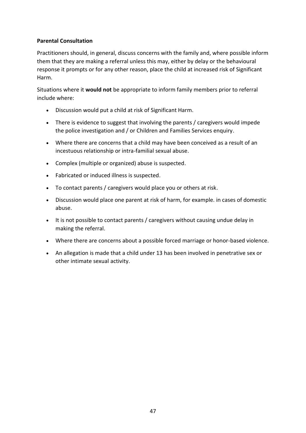#### **Parental Consultation**

Practitioners should, in general, discuss concerns with the family and, where possible inform them that they are making a referral unless this may, either by delay or the behavioural response it prompts or for any other reason, place the child at increased risk of Significant Harm.

Situations where it **would not** be appropriate to inform family members prior to referral include where:

- Discussion would put a child at risk of Significant Harm.
- There is evidence to suggest that involving the parents / caregivers would impede the police investigation and / or Children and Families Services enquiry.
- Where there are concerns that a child may have been conceived as a result of an incestuous relationship or intra-familial sexual abuse.
- Complex (multiple or organized) abuse is suspected.
- Fabricated or induced illness is suspected.
- To contact parents / caregivers would place you or others at risk.
- Discussion would place one parent at risk of harm, for example. in cases of domestic abuse.
- It is not possible to contact parents / caregivers without causing undue delay in making the referral.
- Where there are concerns about a possible forced marriage or honor-based violence.
- An allegation is made that a child under 13 has been involved in penetrative sex or other intimate sexual activity.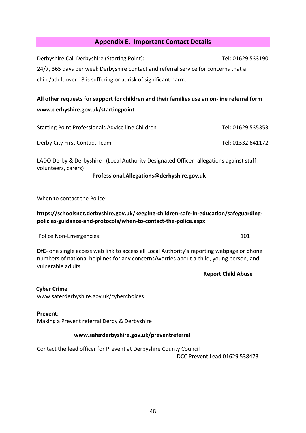#### **Appendix E. Important Contact Details**

Derbyshire Call Derbyshire (Starting Point): Tel: 01629 533190 24/7, 365 days per week Derbyshire contact and referral service for concerns that a child/adult over 18 is suffering or at risk of significant harm.

# **All other requests for support for children and their families use an on-line referral form [www.derbyshire.gov.uk/startingpoint](http://www.derbyshire.gov.uk/startingpoint)**

| Starting Point Professionals Advice line Children | Tel: 01629 535353 |
|---------------------------------------------------|-------------------|
| Derby City First Contact Team                     | Tel: 01332 641172 |

LADO Derby & Derbyshire (Local Authority Designated Officer- allegations against staff, volunteers, carers)

#### **[Professional.Allegations@derbyshire.gov.uk](mailto:Professional.Allegations@derbyshire.gov.uk)**

When to contact the Police:

#### **[https://schoolsnet.derbyshire.gov.uk/keeping-children-safe-in-education/safeguarding](https://schoolsnet.derbyshire.gov.uk/keeping-children-safe-in-education/safeguarding-policies-guidance-and-protocols/when-to-contact-the-police.aspx)[policies-guidance-and-protocols/when-to-contact-the-police.aspx](https://schoolsnet.derbyshire.gov.uk/keeping-children-safe-in-education/safeguarding-policies-guidance-and-protocols/when-to-contact-the-police.aspx)**

Police Non-Emergencies: 101

**DfE**- one single access web link to access all Local Authority's reporting webpage or phone numbers of national helplines for any concerns/worries about a child, young person, and vulnerable adults

**[Report Child Abuse](https://www.gov.uk/report-child-abuse)**

#### **Cyber Crime**

www.saferderbyshire.gov.uk/cyberchoices

**Prevent:** Making a Prevent referral Derby & Derbyshire

#### **www.saferderbyshire.gov.uk/preventreferral**

Contact the lead officer for Prevent at Derbyshire County Council

DCC Prevent Lead 01629 538473